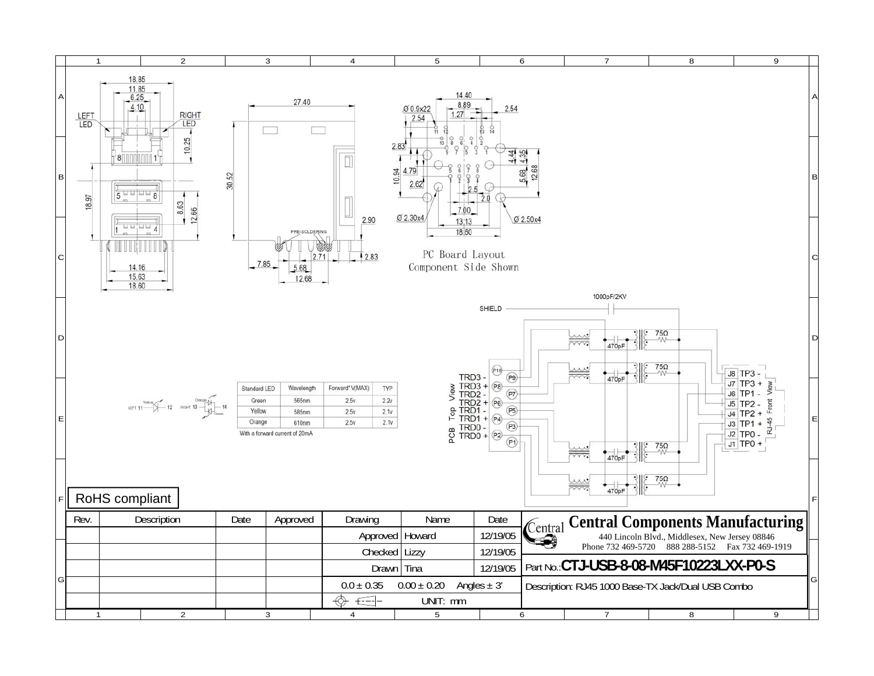